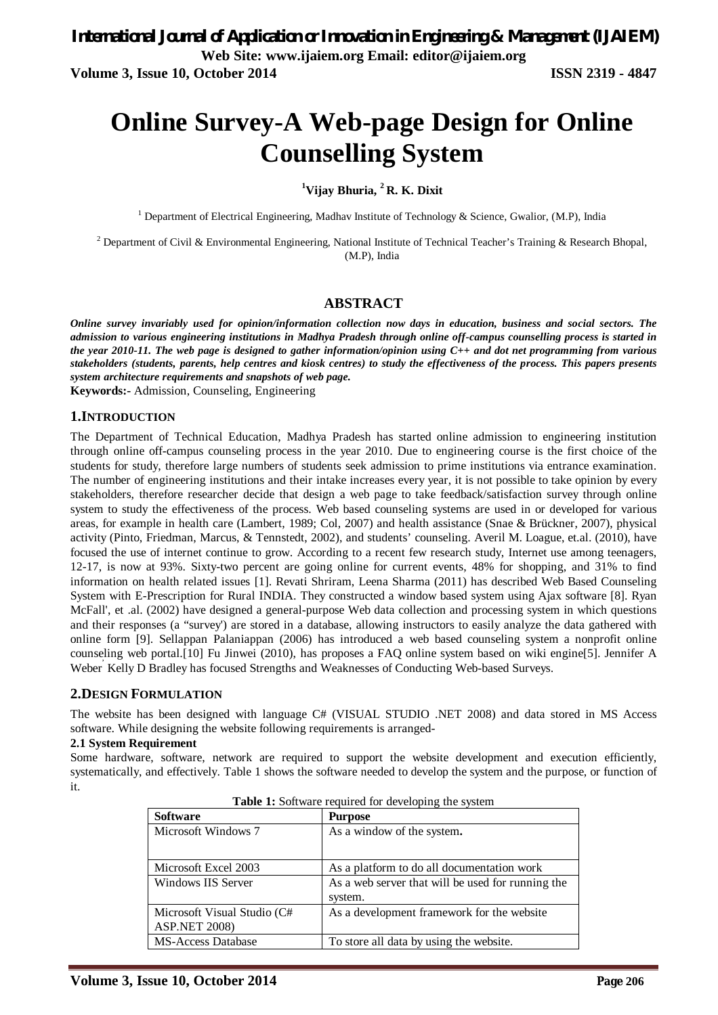# **Online Survey-A Web-page Design for Online Counselling System**

**<sup>1</sup>Vijay Bhuria, <sup>2</sup> R. K. Dixit**

<sup>1</sup> Department of Electrical Engineering, Madhav Institute of Technology & Science, Gwalior, (M.P), India

<sup>2</sup> Department of Civil & Environmental Engineering, National Institute of Technical Teacher's Training & Research Bhopal, (M.P), India

#### **ABSTRACT**

*Online survey invariably used for opinion/information collection now days in education, business and social sectors. The admission to various engineering institutions in Madhya Pradesh through online off-campus counselling process is started in the year 2010-11. The web page is designed to gather information/opinion using C++ and dot net programming from various stakeholders (students, parents, help centres and kiosk centres) to study the effectiveness of the process. This papers presents system architecture requirements and snapshots of web page.*

**Keywords:-** Admission, Counseling, Engineering

#### **1.INTRODUCTION**

The Department of Technical Education, Madhya Pradesh has started online admission to engineering institution through online off-campus counseling process in the year 2010. Due to engineering course is the first choice of the students for study, therefore large numbers of students seek admission to prime institutions via entrance examination. The number of engineering institutions and their intake increases every year, it is not possible to take opinion by every stakeholders, therefore researcher decide that design a web page to take feedback/satisfaction survey through online system to study the effectiveness of the process. Web based counseling systems are used in or developed for various areas, for example in health care (Lambert, 1989; Col, 2007) and health assistance (Snae & Brückner, 2007), physical activity (Pinto, Friedman, Marcus, & Tennstedt, 2002), and students' counseling. Averil M. Loague, et.al. (2010), have focused the use of internet continue to grow. According to a recent few research study, Internet use among teenagers, 12-17, is now at 93%. Sixty-two percent are going online for current events, 48% for shopping, and 31% to find information on health related issues [1]. Revati Shriram, Leena Sharma (2011) has described Web Based Counseling System with E-Prescription for Rural INDIA. They constructed a window based system using Ajax software [8]. Ryan McFall', et .al. (2002) have designed a general-purpose Web data collection and processing system in which questions and their responses (a "survey') are stored in a database, allowing instructors to easily analyze the data gathered with online form [9]. Sellappan Palaniappan (2006) has introduced a web based counseling system a nonprofit online counseling web portal.[10] Fu Jinwei (2010), has proposes a FAQ online system based on wiki engine[5]. Jennifer A , Weber Kelly D Bradley has focused Strengths and Weaknesses of Conducting Web-based Surveys.

#### **2.DESIGN FORMULATION**

The website has been designed with language C# (VISUAL STUDIO .NET 2008) and data stored in MS Access software. While designing the website following requirements is arranged-

#### **2.1 System Requirement**

Some hardware, software, network are required to support the website development and execution efficiently, systematically, and effectively. Table 1 shows the software needed to develop the system and the purpose, or function of it.

| <b>Software</b>                                     | <b>Purpose</b>                                               |
|-----------------------------------------------------|--------------------------------------------------------------|
| Microsoft Windows 7                                 | As a window of the system.                                   |
| Microsoft Excel 2003                                | As a platform to do all documentation work                   |
| Windows IIS Server                                  | As a web server that will be used for running the<br>system. |
| Microsoft Visual Studio (C#<br><b>ASP.NET 2008)</b> | As a development framework for the website                   |
| <b>MS-Access Database</b>                           | To store all data by using the website.                      |

| <b>Table 1:</b> Software required for developing the system |  |  |  |
|-------------------------------------------------------------|--|--|--|
|-------------------------------------------------------------|--|--|--|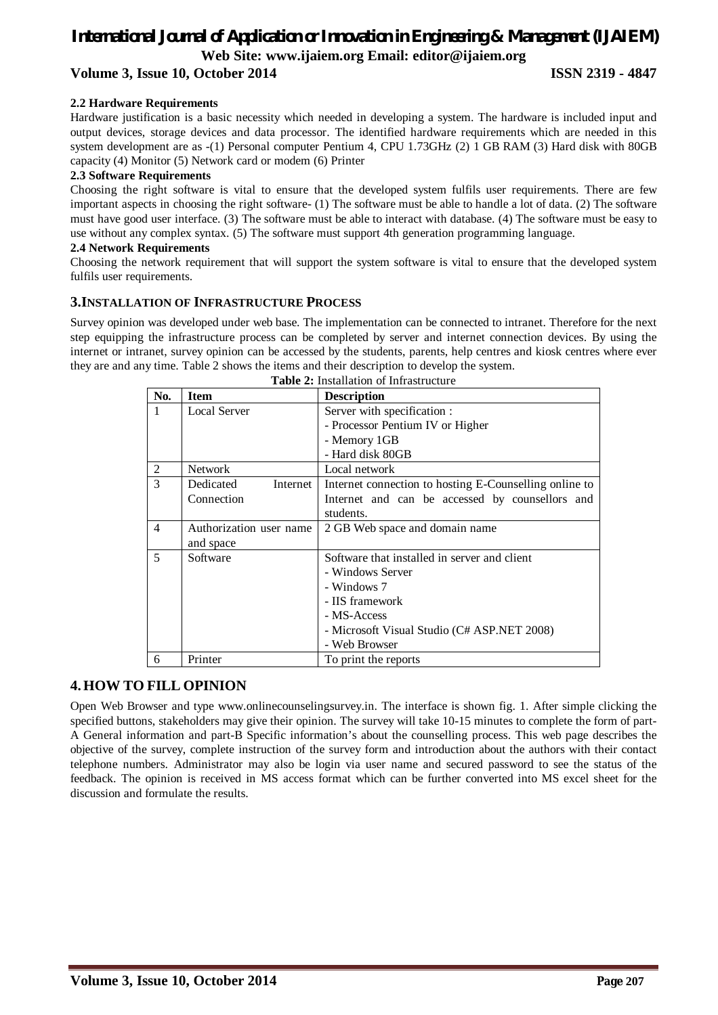# *International Journal of Application or Innovation in Engineering & Management (IJAIEM)* **Web Site: www.ijaiem.org Email: editor@ijaiem.org Volume 3, Issue 10, October 2014 ISSN 2319 - 4847**

#### **2.2 Hardware Requirements**

Hardware justification is a basic necessity which needed in developing a system. The hardware is included input and output devices, storage devices and data processor. The identified hardware requirements which are needed in this system development are as -(1) Personal computer Pentium 4, CPU 1.73GHz (2) 1 GB RAM (3) Hard disk with 80GB capacity (4) Monitor (5) Network card or modem (6) Printer

#### **2.3 Software Requirements**

Choosing the right software is vital to ensure that the developed system fulfils user requirements. There are few important aspects in choosing the right software- (1) The software must be able to handle a lot of data. (2) The software must have good user interface. (3) The software must be able to interact with database. (4) The software must be easy to use without any complex syntax. (5) The software must support 4th generation programming language.

#### **2.4 Network Requirements**

Choosing the network requirement that will support the system software is vital to ensure that the developed system fulfils user requirements.

### **3.INSTALLATION OF INFRASTRUCTURE PROCESS**

Survey opinion was developed under web base. The implementation can be connected to intranet. Therefore for the next step equipping the infrastructure process can be completed by server and internet connection devices. By using the internet or intranet, survey opinion can be accessed by the students, parents, help centres and kiosk centres where ever they are and any time. Table 2 shows the items and their description to develop the system. **Table 2:** Installation of Infrastructure

|                | <b>Table 2.</b> Histanation of Infrastructure |                                                        |  |  |
|----------------|-----------------------------------------------|--------------------------------------------------------|--|--|
| No.            | <b>Item</b>                                   | <b>Description</b>                                     |  |  |
|                | <b>Local Server</b>                           | Server with specification :                            |  |  |
|                |                                               | - Processor Pentium IV or Higher                       |  |  |
|                |                                               | - Memory 1GB                                           |  |  |
|                |                                               | - Hard disk 80GB                                       |  |  |
| $\overline{2}$ | <b>Network</b>                                | Local network                                          |  |  |
| 3              | Dedicated<br>Internet                         | Internet connection to hosting E-Counselling online to |  |  |
|                | Connection                                    | Internet and can be accessed by counsellors and        |  |  |
|                |                                               | students.                                              |  |  |
| $\overline{4}$ | Authorization user name                       | 2 GB Web space and domain name                         |  |  |
|                | and space                                     |                                                        |  |  |
| 5              | Software                                      | Software that installed in server and client           |  |  |
|                |                                               | - Windows Server                                       |  |  |
|                |                                               | - Windows 7                                            |  |  |
|                |                                               | - IIS framework                                        |  |  |
|                |                                               | - MS-Access                                            |  |  |
|                |                                               | - Microsoft Visual Studio (C# ASP.NET 2008)            |  |  |
|                |                                               | - Web Browser                                          |  |  |
| 6              | Printer                                       | To print the reports                                   |  |  |

### **4.HOW TO FILL OPINION**

Open Web Browser and type www.onlinecounselingsurvey.in. The interface is shown fig. 1. After simple clicking the specified buttons, stakeholders may give their opinion. The survey will take 10-15 minutes to complete the form of part-A General information and part-B Specific information's about the counselling process. This web page describes the objective of the survey, complete instruction of the survey form and introduction about the authors with their contact telephone numbers. Administrator may also be login via user name and secured password to see the status of the feedback. The opinion is received in MS access format which can be further converted into MS excel sheet for the discussion and formulate the results.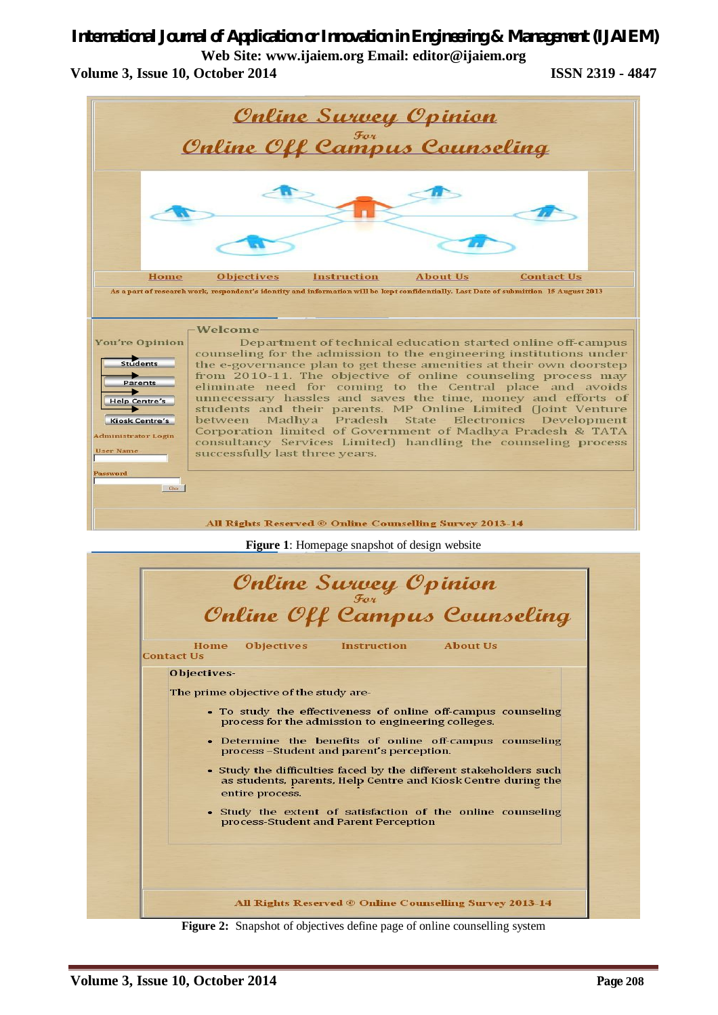# *International Journal of Application or Innovation in Engineering & Management (IJAIEM)*

**Web Site: www.ijaiem.org Email: editor@ijaiem.org Volume 3, Issue 10, October 2014 ISSN 2319 - 4847**



**Figure 2:** Snapshot of objectives define page of online counselling system